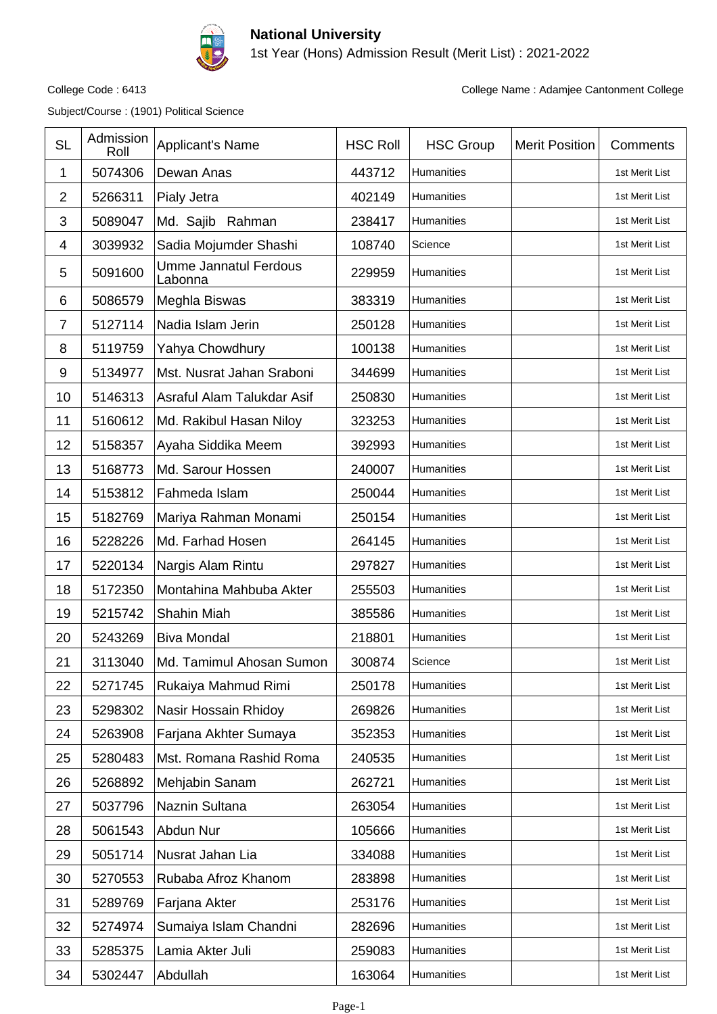

## **National University**

1st Year (Hons) Admission Result (Merit List) : 2021-2022

Subject/Course : (1901) Political Science

College Code : 6413 College Name : Adamjee Cantonment College

| <b>SL</b>      | Admission<br>Roll | Applicant's Name                        | <b>HSC Roll</b> | <b>HSC Group</b> | <b>Merit Position</b> | Comments       |
|----------------|-------------------|-----------------------------------------|-----------------|------------------|-----------------------|----------------|
| 1              | 5074306           | Dewan Anas                              | 443712          | Humanities       |                       | 1st Merit List |
| $\overline{2}$ | 5266311           | Pialy Jetra                             | 402149          | Humanities       |                       | 1st Merit List |
| 3              | 5089047           | Md. Sajib Rahman                        | 238417          | Humanities       |                       | 1st Merit List |
| 4              | 3039932           | Sadia Mojumder Shashi                   | 108740          | Science          |                       | 1st Merit List |
| 5              | 5091600           | <b>Umme Jannatul Ferdous</b><br>Labonna | 229959          | Humanities       |                       | 1st Merit List |
| 6              | 5086579           | Meghla Biswas                           | 383319          | Humanities       |                       | 1st Merit List |
| 7              | 5127114           | Nadia Islam Jerin                       | 250128          | Humanities       |                       | 1st Merit List |
| 8              | 5119759           | Yahya Chowdhury                         | 100138          | Humanities       |                       | 1st Merit List |
| 9              | 5134977           | Mst. Nusrat Jahan Sraboni               | 344699          | Humanities       |                       | 1st Merit List |
| 10             | 5146313           | Asraful Alam Talukdar Asif              | 250830          | Humanities       |                       | 1st Merit List |
| 11             | 5160612           | Md. Rakibul Hasan Niloy                 | 323253          | Humanities       |                       | 1st Merit List |
| 12             | 5158357           | Ayaha Siddika Meem                      | 392993          | Humanities       |                       | 1st Merit List |
| 13             | 5168773           | Md. Sarour Hossen                       | 240007          | Humanities       |                       | 1st Merit List |
| 14             | 5153812           | Fahmeda Islam                           | 250044          | Humanities       |                       | 1st Merit List |
| 15             | 5182769           | Mariya Rahman Monami                    | 250154          | Humanities       |                       | 1st Merit List |
| 16             | 5228226           | Md. Farhad Hosen                        | 264145          | Humanities       |                       | 1st Merit List |
| 17             | 5220134           | Nargis Alam Rintu                       | 297827          | Humanities       |                       | 1st Merit List |
| 18             | 5172350           | Montahina Mahbuba Akter                 | 255503          | Humanities       |                       | 1st Merit List |
| 19             | 5215742           | Shahin Miah                             | 385586          | Humanities       |                       | 1st Merit List |
| 20             | 5243269           | <b>Biva Mondal</b>                      | 218801          | Humanities       |                       | 1st Merit List |
| 21             | 3113040           | Md. Tamimul Ahosan Sumon                | 300874          | Science          |                       | 1st Merit List |
| 22             | 5271745           | Rukaiya Mahmud Rimi                     | 250178          | Humanities       |                       | 1st Merit List |
| 23             | 5298302           | Nasir Hossain Rhidoy                    | 269826          | Humanities       |                       | 1st Merit List |
| 24             | 5263908           | Farjana Akhter Sumaya                   | 352353          | Humanities       |                       | 1st Merit List |
| 25             | 5280483           | Mst. Romana Rashid Roma                 | 240535          | Humanities       |                       | 1st Merit List |
| 26             | 5268892           | Mehjabin Sanam                          | 262721          | Humanities       |                       | 1st Merit List |
| 27             | 5037796           | Naznin Sultana                          | 263054          | Humanities       |                       | 1st Merit List |
| 28             | 5061543           | Abdun Nur                               | 105666          | Humanities       |                       | 1st Merit List |
| 29             | 5051714           | Nusrat Jahan Lia                        | 334088          | Humanities       |                       | 1st Merit List |
| 30             | 5270553           | Rubaba Afroz Khanom                     | 283898          | Humanities       |                       | 1st Merit List |
| 31             | 5289769           | Farjana Akter                           | 253176          | Humanities       |                       | 1st Merit List |
| 32             | 5274974           | Sumaiya Islam Chandni                   | 282696          | Humanities       |                       | 1st Merit List |
| 33             | 5285375           | Lamia Akter Juli                        | 259083          | Humanities       |                       | 1st Merit List |
| 34             | 5302447           | Abdullah                                | 163064          | Humanities       |                       | 1st Merit List |